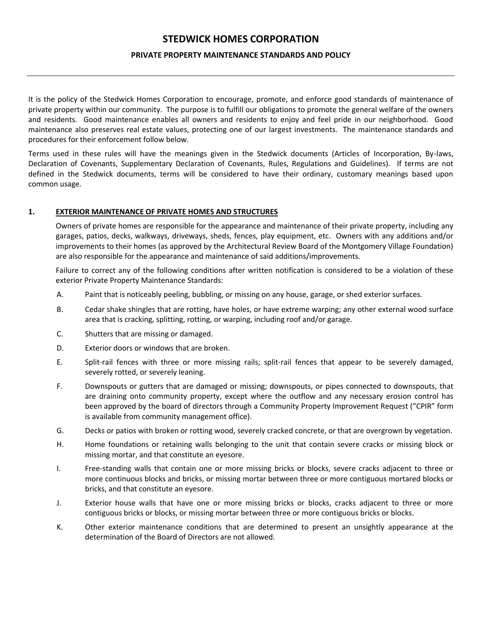# **STEDWICK HOMES CORPORATION**

#### **PRIVATE PROPERTY MAINTENANCE STANDARDS AND POLICY**

It is the policy of the Stedwick Homes Corporation to encourage, promote, and enforce good standards of maintenance of private property within our community. The purpose is to fulfill our obligations to promote the general welfare of the owners and residents. Good maintenance enables all owners and residents to enjoy and feel pride in our neighborhood. Good maintenance also preserves real estate values, protecting one of our largest investments. The maintenance standards and procedures for their enforcement follow below.

Terms used in these rules will have the meanings given in the Stedwick documents (Articles of Incorporation, By-laws, Declaration of Covenants, Supplementary Declaration of Covenants, Rules, Regulations and Guidelines). If terms are not defined in the Stedwick documents, terms will be considered to have their ordinary, customary meanings based upon common usage.

#### **1. EXTERIOR MAINTENANCE OF PRIVATE HOMES AND STRUCTURES**

Owners of private homes are responsible for the appearance and maintenance of their private property, including any garages, patios, decks, walkways, driveways, sheds, fences, play equipment, etc. Owners with any additions and/or improvements to their homes (as approved by the Architectural Review Board of the Montgomery Village Foundation) are also responsible for the appearance and maintenance of said additions/improvements.

Failure to correct any of the following conditions after written notification is considered to be a violation of these exterior Private Property Maintenance Standards:

- A. Paint that is noticeably peeling, bubbling, or missing on any house, garage, or shed exterior surfaces.
- B. Cedar shake shingles that are rotting, have holes, or have extreme warping; any other external wood surface area that is cracking, splitting, rotting, or warping, including roof and/or garage.
- C. Shutters that are missing or damaged.
- D. Exterior doors or windows that are broken.
- E. Split-rail fences with three or more missing rails; split-rail fences that appear to be severely damaged, severely rotted, or severely leaning.
- F. Downspouts or gutters that are damaged or missing; downspouts, or pipes connected to downspouts, that are draining onto community property, except where the outflow and any necessary erosion control has been approved by the board of directors through a Community Property Improvement Request ("CPIR" form is available from community management office).
- G. Decks or patios with broken or rotting wood, severely cracked concrete, or that are overgrown by vegetation.
- H. Home foundations or retaining walls belonging to the unit that contain severe cracks or missing block or missing mortar, and that constitute an eyesore.
- I. Free-standing walls that contain one or more missing bricks or blocks, severe cracks adjacent to three or more continuous blocks and bricks, or missing mortar between three or more contiguous mortared blocks or bricks, and that constitute an eyesore.
- J. Exterior house walls that have one or more missing bricks or blocks, cracks adjacent to three or more contiguous bricks or blocks, or missing mortar between three or more contiguous bricks or blocks.
- K. Other exterior maintenance conditions that are determined to present an unsightly appearance at the determination of the Board of Directors are not allowed.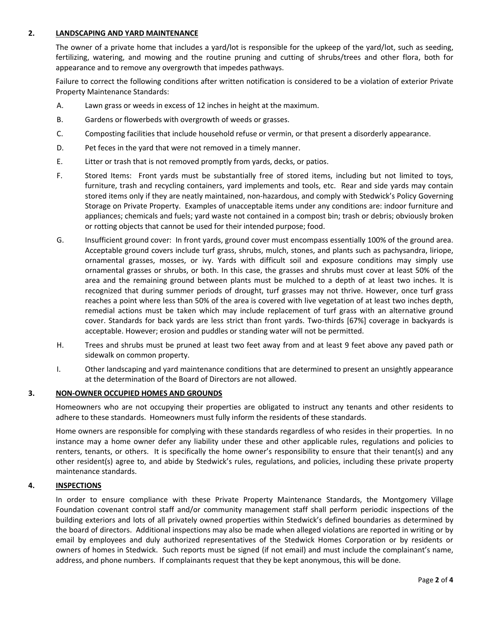### **2. LANDSCAPING AND YARD MAINTENANCE**

The owner of a private home that includes a yard/lot is responsible for the upkeep of the yard/lot, such as seeding, fertilizing, watering, and mowing and the routine pruning and cutting of shrubs/trees and other flora, both for appearance and to remove any overgrowth that impedes pathways.

Failure to correct the following conditions after written notification is considered to be a violation of exterior Private Property Maintenance Standards:

- A. Lawn grass or weeds in excess of 12 inches in height at the maximum.
- B. Gardens or flowerbeds with overgrowth of weeds or grasses.
- C. Composting facilities that include household refuse or vermin, or that present a disorderly appearance.
- D. Pet feces in the yard that were not removed in a timely manner.
- E. Litter or trash that is not removed promptly from yards, decks, or patios.
- F. Stored Items: Front yards must be substantially free of stored items, including but not limited to toys, furniture, trash and recycling containers, yard implements and tools, etc. Rear and side yards may contain stored items only if they are neatly maintained, non-hazardous, and comply with Stedwick's Policy Governing Storage on Private Property. Examples of unacceptable items under any conditions are: indoor furniture and appliances; chemicals and fuels; yard waste not contained in a compost bin; trash or debris; obviously broken or rotting objects that cannot be used for their intended purpose; food.
- G. Insufficient ground cover: In front yards, ground cover must encompass essentially 100% of the ground area. Acceptable ground covers include turf grass, shrubs, mulch, stones, and plants such as pachysandra, liriope, ornamental grasses, mosses, or ivy. Yards with difficult soil and exposure conditions may simply use ornamental grasses or shrubs, or both. In this case, the grasses and shrubs must cover at least 50% of the area and the remaining ground between plants must be mulched to a depth of at least two inches. It is recognized that during summer periods of drought, turf grasses may not thrive. However, once turf grass reaches a point where less than 50% of the area is covered with live vegetation of at least two inches depth, remedial actions must be taken which may include replacement of turf grass with an alternative ground cover. Standards for back yards are less strict than front yards. Two-thirds [67%] coverage in backyards is acceptable. However; erosion and puddles or standing water will not be permitted.
- H. Trees and shrubs must be pruned at least two feet away from and at least 9 feet above any paved path or sidewalk on common property.
- I. Other landscaping and yard maintenance conditions that are determined to present an unsightly appearance at the determination of the Board of Directors are not allowed.

#### **3. NON-OWNER OCCUPIED HOMES AND GROUNDS**

Homeowners who are not occupying their properties are obligated to instruct any tenants and other residents to adhere to these standards. Homeowners must fully inform the residents of these standards.

Home owners are responsible for complying with these standards regardless of who resides in their properties. In no instance may a home owner defer any liability under these and other applicable rules, regulations and policies to renters, tenants, or others. It is specifically the home owner's responsibility to ensure that their tenant(s) and any other resident(s) agree to, and abide by Stedwick's rules, regulations, and policies, including these private property maintenance standards.

#### **4. INSPECTIONS**

In order to ensure compliance with these Private Property Maintenance Standards, the Montgomery Village Foundation covenant control staff and/or community management staff shall perform periodic inspections of the building exteriors and lots of all privately owned properties within Stedwick's defined boundaries as determined by the board of directors. Additional inspections may also be made when alleged violations are reported in writing or by email by employees and duly authorized representatives of the Stedwick Homes Corporation or by residents or owners of homes in Stedwick. Such reports must be signed (if not email) and must include the complainant's name, address, and phone numbers. If complainants request that they be kept anonymous, this will be done.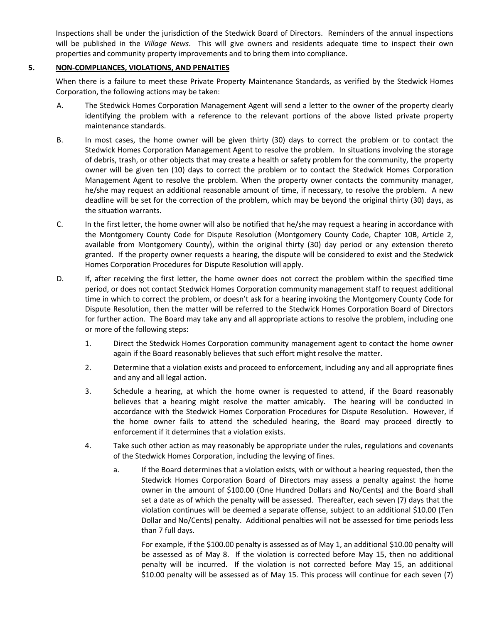Inspections shall be under the jurisdiction of the Stedwick Board of Directors. Reminders of the annual inspections will be published in the *Village News*. This will give owners and residents adequate time to inspect their own properties and community property improvements and to bring them into compliance.

### **5. NON-COMPLIANCES, VIOLATIONS, AND PENALTIES**

When there is a failure to meet these Private Property Maintenance Standards, as verified by the Stedwick Homes Corporation, the following actions may be taken:

- A. The Stedwick Homes Corporation Management Agent will send a letter to the owner of the property clearly identifying the problem with a reference to the relevant portions of the above listed private property maintenance standards.
- B. In most cases, the home owner will be given thirty (30) days to correct the problem or to contact the Stedwick Homes Corporation Management Agent to resolve the problem. In situations involving the storage of debris, trash, or other objects that may create a health or safety problem for the community, the property owner will be given ten (10) days to correct the problem or to contact the Stedwick Homes Corporation Management Agent to resolve the problem. When the property owner contacts the community manager, he/she may request an additional reasonable amount of time, if necessary, to resolve the problem. A new deadline will be set for the correction of the problem, which may be beyond the original thirty (30) days, as the situation warrants.
- C. In the first letter, the home owner will also be notified that he/she may request a hearing in accordance with the Montgomery County Code for Dispute Resolution (Montgomery County Code, Chapter 10B, Article 2, available from Montgomery County), within the original thirty (30) day period or any extension thereto granted. If the property owner requests a hearing, the dispute will be considered to exist and the Stedwick Homes Corporation Procedures for Dispute Resolution will apply.
- D. If, after receiving the first letter, the home owner does not correct the problem within the specified time period, or does not contact Stedwick Homes Corporation community management staff to request additional time in which to correct the problem, or doesn't ask for a hearing invoking the Montgomery County Code for Dispute Resolution, then the matter will be referred to the Stedwick Homes Corporation Board of Directors for further action. The Board may take any and all appropriate actions to resolve the problem, including one or more of the following steps:
	- 1. Direct the Stedwick Homes Corporation community management agent to contact the home owner again if the Board reasonably believes that such effort might resolve the matter.
	- 2. Determine that a violation exists and proceed to enforcement, including any and all appropriate fines and any and all legal action.
	- 3. Schedule a hearing, at which the home owner is requested to attend, if the Board reasonably believes that a hearing might resolve the matter amicably. The hearing will be conducted in accordance with the Stedwick Homes Corporation Procedures for Dispute Resolution. However, if the home owner fails to attend the scheduled hearing, the Board may proceed directly to enforcement if it determines that a violation exists.
	- 4. Take such other action as may reasonably be appropriate under the rules, regulations and covenants of the Stedwick Homes Corporation, including the levying of fines.
		- a. If the Board determines that a violation exists, with or without a hearing requested, then the Stedwick Homes Corporation Board of Directors may assess a penalty against the home owner in the amount of \$100.00 (One Hundred Dollars and No/Cents) and the Board shall set a date as of which the penalty will be assessed. Thereafter, each seven (7) days that the violation continues will be deemed a separate offense, subject to an additional \$10.00 (Ten Dollar and No/Cents) penalty. Additional penalties will not be assessed for time periods less than 7 full days.

For example, if the \$100.00 penalty is assessed as of May 1, an additional \$10.00 penalty will be assessed as of May 8. If the violation is corrected before May 15, then no additional penalty will be incurred. If the violation is not corrected before May 15, an additional \$10.00 penalty will be assessed as of May 15. This process will continue for each seven (7)